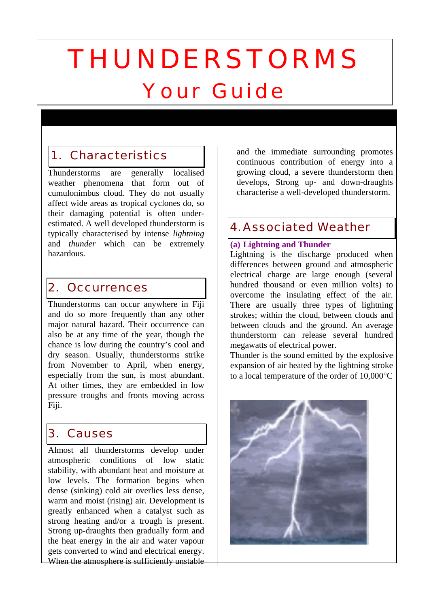# THUNDERSTORMS Your Guide

# 1. Characteristics

Thunderstorms are generally localised weather phenomena that form out of cumulonimbus cloud. They do not usually affect wide areas as tropical cyclones do, so their damaging potential is often underestimated. A well developed thunderstorm is typically characterised by intense *lightning* and *thunder* which can be extremely hazardous.

## 2. Occurrences

Thunderstorms can occur anywhere in Fiji and do so more frequently than any other major natural hazard. Their occurrence can also be at any time of the year, though the chance is low during the country's cool and dry season. Usually, thunderstorms strike from November to April, when energy, especially from the sun, is most abundant. At other times, they are embedded in low pressure troughs and fronts moving across Fiji.

## 3. Causes

Almost all thunderstorms develop under atmospheric conditions of low static stability, with abundant heat and moisture at low levels. The formation begins when dense (sinking) cold air overlies less dense, warm and moist (rising) air. Development is greatly enhanced when a catalyst such as strong heating and/or a trough is present. Strong up-draughts then gradually form and the heat energy in the air and water vapour gets converted to wind and electrical energy. When the atmosphere is sufficiently unstable

and the immediate surrounding promotes continuous contribution of energy into a growing cloud, a severe thunderstorm then develops, Strong up- and down-draughts characterise a well-developed thunderstorm.

## 4.Associated Weather

## **(a) Lightning and Thunder**

Lightning is the discharge produced when differences between ground and atmospheric electrical charge are large enough (several hundred thousand or even million volts) to overcome the insulating effect of the air. There are usually three types of lightning strokes; within the cloud, between clouds and between clouds and the ground. An average thunderstorm can release several hundred megawatts of electrical power.

Thunder is the sound emitted by the explosive expansion of air heated by the lightning stroke to a local temperature of the order of 10,000°C